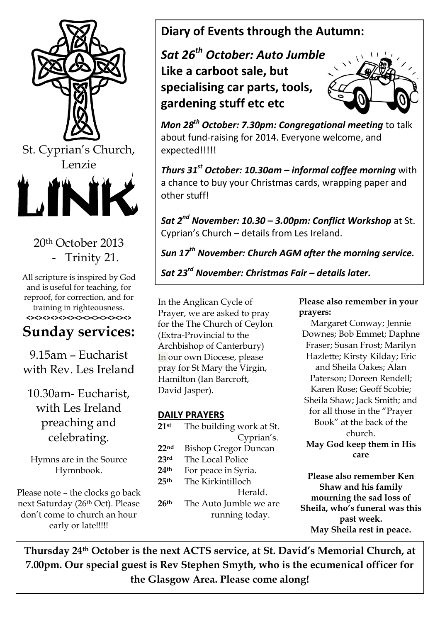

## 20th October 2013 - Trinity 21.

All scripture is inspired by God and is useful for teaching, for reproof, for correction, and for training in righteousness. **<><><><><><><><><><><><><>**

# **Sunday services:**

9.15am – Eucharist with Rev. Les Ireland

10.30am- Eucharist, with Les Ireland preaching and celebrating.

Hymns are in the Source Hymnbook.

Please note – the clocks go back next Saturday (26th Oct). Please don't come to church an hour early or late!!!!!

# **Diary of Events through the Autumn:**

*Sat 26th October: Auto Jumble* **Like a carboot sale, but specialising car parts, tools, gardening stuff etc etc**



*Mon 28th October: 7.30pm: Congregational meeting* to talk about fund-raising for 2014. Everyone welcome, and expected!!!!!

*Thurs 31st October: 10.30am – informal coffee morning* with a chance to buy your Christmas cards, wrapping paper and other stuff!

*Sat 2nd November: 10.30 – 3.00pm: Conflict Workshop* at St. Cyprian's Church – details from Les Ireland.

*Sun 17th November: Church AGM after the morning service.*

## *Sat 23rd November: Christmas Fair – details later.*

In the Anglican Cycle of Prayer, we are asked to pray for the The Church of Ceylon (Extra-Provincial to the Archbishop of Canterbury) In our own Diocese, please pray for St Mary the Virgin, Hamilton (Ian Barcroft, David Jasper). *Wed 27th November: Bishop's Visitation to our charge.*

### **DAILY PRAYERS**

| 21st             | The building work at St.    |
|------------------|-----------------------------|
|                  | Cyprian's.                  |
| 22 <sub>nd</sub> | <b>Bishop Gregor Duncan</b> |
| 23rd             | The Local Police            |
| 24 <sup>th</sup> | For peace in Syria.         |
| 25 <sup>th</sup> | The Kirkintilloch           |
|                  | Herald.                     |
| 26th             | The Auto Jumble we are      |
|                  | running today.              |

**Please also remember in your prayers:**

Margaret Conway; Jennie Downes; Bob Emmet; Daphne Fraser; Susan Frost; Marilyn Hazlette; Kirsty Kilday; Eric and Sheila Oakes; Alan Paterson; Doreen Rendell; Karen Rose; Geoff Scobie; Sheila Shaw; Jack Smith; and for all those in the "Prayer Book" at the back of the church. **May God keep them in His** 

```
care
```
**Please also remember Ken Shaw and his family mourning the sad loss of Sheila, who's funeral was this past week. May Sheila rest in peace.**

**Thursday 24th October is the next ACTS service, at St. David's Memorial Church, at 7.00pm. Our special guest is Rev Stephen Smyth, who is the ecumenical officer for the Glasgow Area. Please come along!**